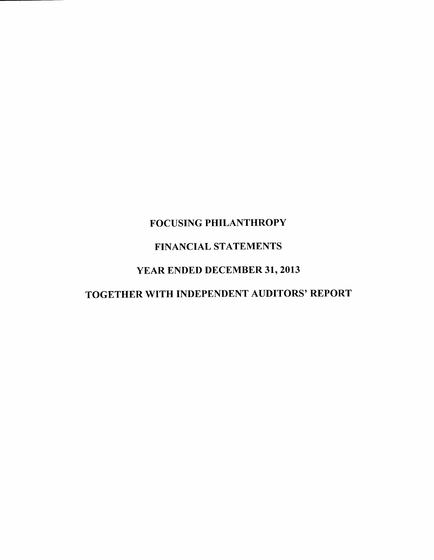# FOCUSING PHILANTHROPY FINANCIAL STATEMENTS YEAR ENDED DECEMBER 31, 2013

TOGETHER WITH INDEPENDENT AUDITORS' REPORT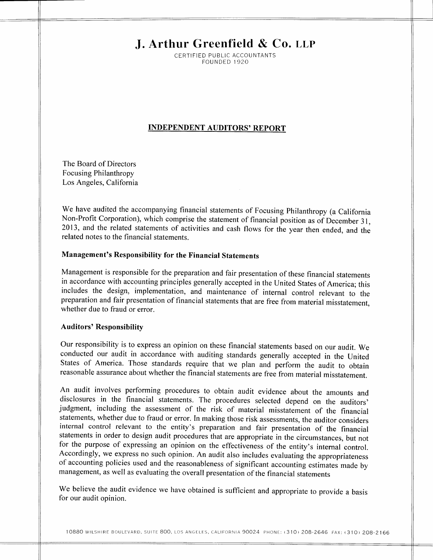# **J. Arthur Greenfield & Co. LLP**

CERTIFIED PUBLIC ACCOUNTANTS FOUNDED 1920

# **INDEPENDENT AUDITORS' REPORT**

The Board of Directors Focusing Philanthropy Los Angeles, California

We have audited the accompanying financial statements of Focusing Philanthropy (a California Non-Profit Corporation), which comprise the statement of financial position as of December 31, 2013, and the related statements of activities and cash flows for the year then ended, and the related notes to the financial statements.

# **Management's Responsibility for the Financial Statements**

Management is responsible for the preparation and fair presentation of these financial statements in accordance with accounting principles generally accepted in the United States of America; this includes the design, implementation, and maintenance of internal control relevant to the preparation and fair presentation of financial statements that are free from material misstatement, whether due to fraud or error.

#### **Auditors' Responsibility**

Our responsibility is to express an opinion on these financial statements based on our audit. We conducted our audit in accordance with auditing standards generally accepted in the United States of America. Those standards require that we plan and perform the audit to obtain reasonable assurance about whether the financial statements are free from material misstatement.

An audit involves performing procedures to obtain audit evidence about the amounts and disclosures in the financial statements. The procedures selected depend on the auditors' judgment, including the assessment of the risk of material misstatement of the financial statements, whether due to fraud or error. In making those risk assessments, the auditor considers internal control relevant to the entity's preparation and fair presentation of the financial statements in order to design audit procedures that are appropriate in the circumstances, but not for the purpose of expressing an opinion on the effectiveness of the entity's internal control. Accordingly, we express no such opinion. An audit also includes evaluating the appropriateness of accounting policies used and the reasonableness of significant accounting estimates made by management, as well as evaluating the overall presentation of the financial statements

We believe the audit evidence we have obtained is sufficient and appropriate to provide a basis for our audit opinion.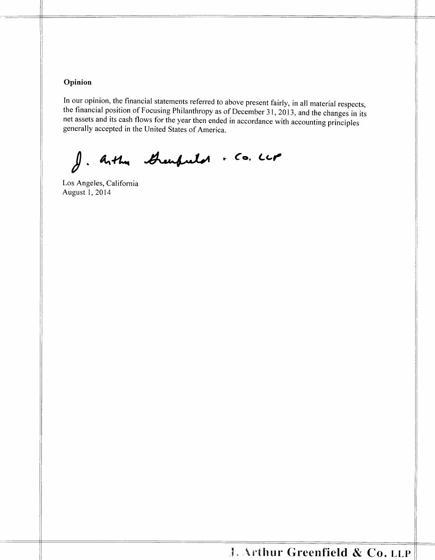# **Opinion**

In our opinion, the financial statements referred to above present fairly, in all material respects, the financial position of Focusing Philanthropy as of December 31, 2013, and the changes in its net assets and its cash flows for the year then ended in accordance with accounting principles generally accepted in the United States of America.

J. Arthu Greenfreitot . Co. LLP

Los Angeles, California August 1,2014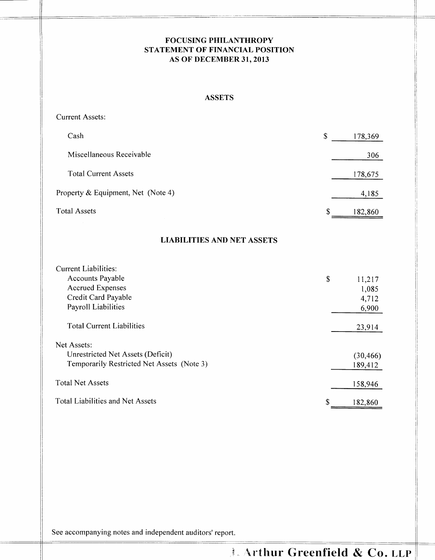# **FOCUSING PHILANTHROPY STATEMENT OF FINANCIAL POSITION AS OF DECEMBER 31, 2013**

## ASSETS

Current Assets:

| Cash                               | \$<br>178,369 |
|------------------------------------|---------------|
| Miscellaneous Receivable           | 306           |
| <b>Total Current Assets</b>        | 178,675       |
| Property & Equipment, Net (Note 4) | 4,185         |
| <b>Total Assets</b>                | \$<br>182,860 |
|                                    |               |

# **LIABILITIES AND NET ASSETS**

| <b>Current Liabilities:</b>                |               |
|--------------------------------------------|---------------|
| <b>Accounts Payable</b>                    | \$<br>11,217  |
| <b>Accrued Expenses</b>                    | 1,085         |
| Credit Card Payable                        | 4,712         |
| Payroll Liabilities                        | 6,900         |
| <b>Total Current Liabilities</b>           | 23,914        |
| Net Assets:                                |               |
| Unrestricted Net Assets (Deficit)          | (30, 466)     |
| Temporarily Restricted Net Assets (Note 3) | 189,412       |
| <b>Total Net Assets</b>                    | 158,946       |
| <b>Total Liabilities and Net Assets</b>    | \$<br>182,860 |

See accompanying notes and independent auditors' report.

# **Arthur Greenfield & Co. LLP**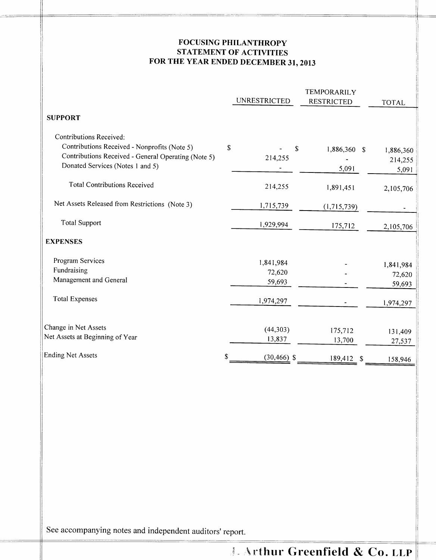# **FOCUSING PHILANTHROPY** STATEMENT **OF ACTIVITIES FOR THE YEAR ENDED DECEMBER 31,2013**

|                                                     | <b>UNRESTRICTED</b>  | <b>TEMPORARILY</b><br><b>RESTRICTED</b> | <b>TOTAL</b> |
|-----------------------------------------------------|----------------------|-----------------------------------------|--------------|
| <b>SUPPORT</b>                                      |                      |                                         |              |
| Contributions Received:                             |                      |                                         |              |
| Contributions Received - Nonprofits (Note 5)        | \$<br>S              | 1,886,360 \$                            | 1,886,360    |
| Contributions Received - General Operating (Note 5) | 214,255              |                                         | 214,255      |
| Donated Services (Notes 1 and 5)                    |                      | 5,091                                   | 5,091        |
| <b>Total Contributions Received</b>                 | 214,255              | 1,891,451                               | 2,105,706    |
| Net Assets Released from Restrictions (Note 3)      | 1,715,739            | (1,715,739)                             |              |
| <b>Total Support</b>                                | 1,929,994            | 175,712                                 | 2,105,706    |
| <b>EXPENSES</b>                                     |                      |                                         |              |
| Program Services                                    | 1,841,984            |                                         | 1,841,984    |
| Fundraising                                         | 72,620               |                                         | 72,620       |
| Management and General                              | 59,693               |                                         | 59,693       |
| <b>Total Expenses</b>                               | 1,974,297            |                                         | 1,974,297    |
| Change in Net Assets                                | (44,303)             | 175,712                                 | 131,409      |
| Net Assets at Beginning of Year                     | 13,837               | 13,700                                  | 27,537       |
| <b>Ending Net Assets</b>                            | \$<br>$(30, 466)$ \$ | 189,412<br>\$                           | 158,946      |

See accompanying notes and independent auditors' report.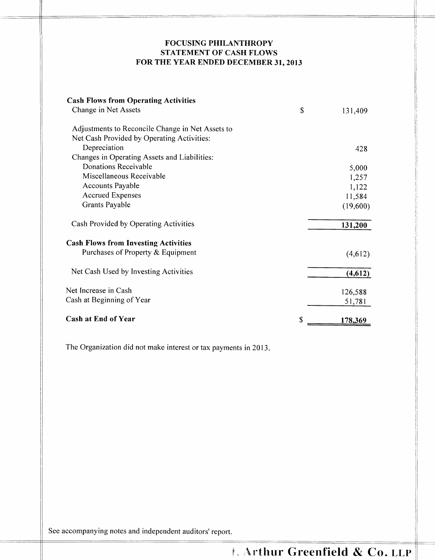# **FOCUSING PHILANTHROPY STATEMENT OF CASH FLOWS FOR THE YEAR ENDED DECEMBER 31, 2013**

| <b>Cash Flows from Operating Activities</b>      |               |
|--------------------------------------------------|---------------|
| Change in Net Assets                             | \$<br>131,409 |
| Adjustments to Reconcile Change in Net Assets to |               |
| Net Cash Provided by Operating Activities:       |               |
| Depreciation                                     | 428           |
| Changes in Operating Assets and Liabilities:     |               |
| Donations Receivable                             | 5,000         |
| Miscellaneous Receivable                         | 1,257         |
| <b>Accounts Payable</b>                          | 1,122         |
| <b>Accrued Expenses</b>                          | 11,584        |
| Grants Payable                                   | (19,600)      |
| Cash Provided by Operating Activities            | 131,200       |
| <b>Cash Flows from Investing Activities</b>      |               |
| Purchases of Property & Equipment                | (4,612)       |
| Net Cash Used by Investing Activities            | (4,612)       |
| Net Increase in Cash                             | 126,588       |
| Cash at Beginning of Year                        | 51,781        |
| <b>Cash at End of Year</b>                       | \$<br>178,369 |

The Organization did not make interest or tax payments in 2013.

See accompanying notes and independent auditors' report.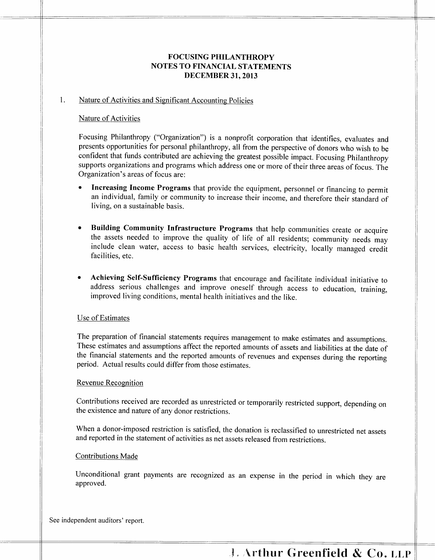# **FOCUSING PHILANTHROPY NOTES TO FINANCIAL STATEMENTS DECEMBER 31, 2013**

#### 1. Nature of Activities and Significant Accounting Policies

#### Nature of Activities

Focusing Philanthropy ("Organization") is a nonprofit corporation that identifies, evaluates and presents opportunities for personal philanthropy, all from the perspective of donors who wish to be confident that funds contributed are achieving the greatest possible impact. Focusing Philanthropy supports organizations and programs which address one or more of their three areas of focus. The Organization's areas of focus are:

- **Increasing Income Programs** that provide the equipment, personnel or financing to permit an individual, family or community to increase their income, and therefore their standard of living, on a sustainable basis.
- **Building Community Infrastructure Programs** that help communities create or acquire the assets needed to improve the quality of life of all residents; community needs may include clean water, access to basic health services, electricity, locally managed credit facilities, etc.
- **Achieving Self-Sufficiency Programs** that encourage and facilitate individual initiative to address serious challenges and improve oneself through access to education, training, improved living conditions, mental health initiatives and the like.

#### Use of Estimates

The preparation of financial statements requires management to make estimates and assumptions. These estimates and assumptions affect the reported amounts of assets and liabilities at the date of the financial statements and the reported amounts of revenues and expenses during the reporting period. Actual results could differ from those estimates.

#### Revenue Recognition

Contributions received are recorded as unrestricted or temporarily restricted support, depending on the existence and nature of any donor restrictions.

When a donor-imposed restriction is satisfied, the donation is reclassified to unrestricted net assets and reported in the statement of activities as net assets released from restrictions.

#### Contributions Made

Unconditional grant payments are recognized as an expense in the period in which they are approved.

See independent auditors' report.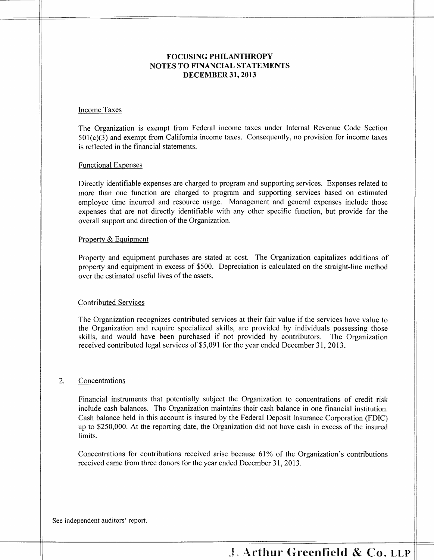# **FOCUSING PHILANTHROPY NOTES TO FINANCIAL STATEMENTS DECEMBER 31, 2013**

#### Income Taxes

The Organization is exempt from Federal income taxes under Internal Revenue Code Section 501(c)(3) and exempt from California income taxes. Consequently, no provision for income taxes is reflected in the financial statements.

#### Functional Expenses

Directly identifiable expenses are charged to program and supporting services. Expenses related to more than one function are charged to program and supporting services based on estimated employee time incurred and resource usage. Management and general expenses include those expenses that are not directly identifiable with any other specific function, but provide for the overall support and direction of the Organization.

#### Property & Equipment

Property and equipment purchases are stated at cost. The Organization capitalizes additions of property and equipment in excess of \$500. Depreciation is calculated on the straight-line method over the estimated useful lives of the assets.

#### Contributed Services

The Organization recognizes contributed services at their fair value if the services have value to the Organization and require specialized skills, are provided by individuals possessing those skills, and would have been purchased if not provided by contributors. The Organization received contributed legal services of \$5,091 for the year ended December 31, 2013.

#### 2. Concentrations

Financial instruments that potentially subject the Organization to concentrations of credit risk include cash balances. The Organization maintains their cash balance in one financial institution. Cash balance held in this account is insured by the Federal Deposit Insurance Corporation (FDIC) up to \$250,000. At the reporting date, the Organization did not have cash in excess of the insured limits.

Concentrations for contributions received arise because 61% of the Organization's contributions received came from three donors for the year ended December 31,2013.

See independent auditors' report.